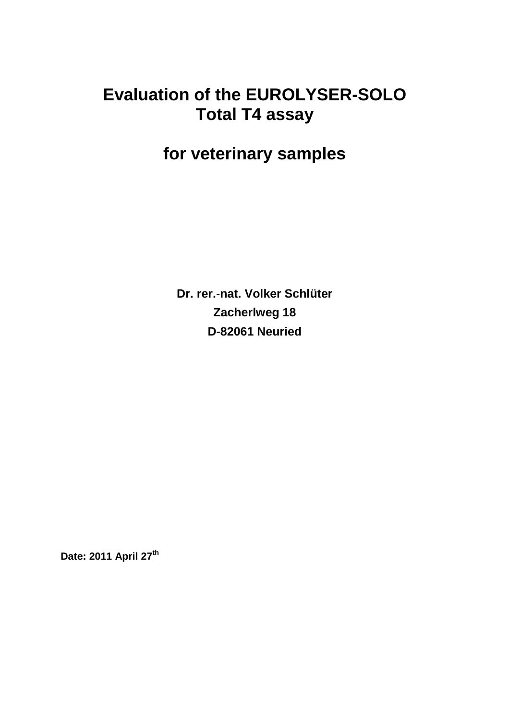## **Evaluation of the EUROLYSER-SOLO Total T4 assay**

# **for veterinary samples**

**Dr. rer.-nat. Volker Schlüter Zacherlweg 18 D-82061 Neuried**

**Date: 2011 April 27th**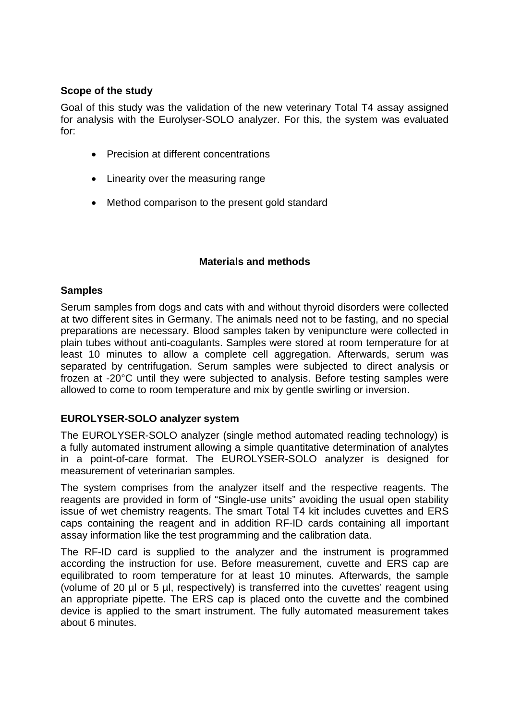## **Scope of the study**

Goal of this study was the validation of the new veterinary Total T4 assay assigned for analysis with the Eurolyser-SOLO analyzer. For this, the system was evaluated for:

- Precision at different concentrations
- Linearity over the measuring range
- Method comparison to the present gold standard

#### **Materials and methods**

#### **Samples**

Serum samples from dogs and cats with and without thyroid disorders were collected at two different sites in Germany. The animals need not to be fasting, and no special preparations are necessary. Blood samples taken by venipuncture were collected in plain tubes without anti-coagulants. Samples were stored at room temperature for at least 10 minutes to allow a complete cell aggregation. Afterwards, serum was separated by centrifugation. Serum samples were subjected to direct analysis or frozen at -20°C until they were subjected to analysis. Before testing samples were allowed to come to room temperature and mix by gentle swirling or inversion.

#### **EUROLYSER-SOLO analyzer system**

The EUROLYSER-SOLO analyzer (single method automated reading technology) is a fully automated instrument allowing a simple quantitative determination of analytes in a point-of-care format. The EUROLYSER-SOLO analyzer is designed for measurement of veterinarian samples.

The system comprises from the analyzer itself and the respective reagents. The reagents are provided in form of "Single-use units" avoiding the usual open stability issue of wet chemistry reagents. The smart Total T4 kit includes cuvettes and ERS caps containing the reagent and in addition RF-ID cards containing all important assay information like the test programming and the calibration data.

The RF-ID card is supplied to the analyzer and the instrument is programmed according the instruction for use. Before measurement, cuvette and ERS cap are equilibrated to room temperature for at least 10 minutes. Afterwards, the sample (volume of 20 µl or 5 µl, respectively) is transferred into the cuvettes' reagent using an appropriate pipette. The ERS cap is placed onto the cuvette and the combined device is applied to the smart instrument. The fully automated measurement takes about 6 minutes.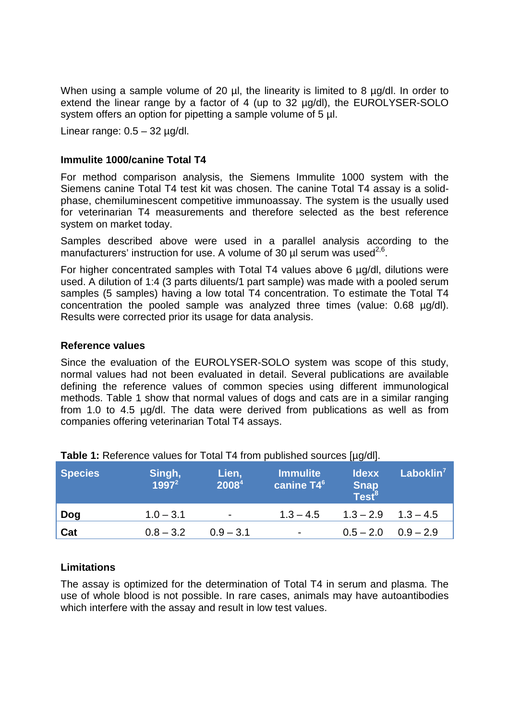When using a sample volume of 20 µl, the linearity is limited to 8 µg/dl. In order to extend the linear range by a factor of 4 (up to 32 µg/dl), the EUROLYSER-SOLO system offers an option for pipetting a sample volume of 5  $\mu$ l.

Linear range:  $0.5 - 32$  ug/dl.

#### **Immulite 1000/canine Total T4**

For method comparison analysis, the Siemens Immulite 1000 system with the Siemens canine Total T4 test kit was chosen. The canine Total T4 assay is a solidphase, chemiluminescent competitive immunoassay. The system is the usually used for veterinarian T4 measurements and therefore selected as the best reference system on market today.

Samples described above were used in a parallel analysis according to the manufacturers' instruction for use. A volume of 30  $\mu$ l serum was used<sup>2,6</sup>.

For higher concentrated samples with Total T4 values above 6 µg/dl, dilutions were used. A dilution of 1:4 (3 parts diluents/1 part sample) was made with a pooled serum samples (5 samples) having a low total T4 concentration. To estimate the Total T4 concentration the pooled sample was analyzed three times (value: 0.68 µg/dl). Results were corrected prior its usage for data analysis.

#### **Reference values**

Since the evaluation of the EUROLYSER-SOLO system was scope of this study, normal values had not been evaluated in detail. Several publications are available defining the reference values of common species using different immunological methods. Table 1 show that normal values of dogs and cats are in a similar ranging from 1.0 to 4.5 µg/dl. The data were derived from publications as well as from companies offering veterinarian Total T4 assays.

| <b>Species</b> | Singh,<br>$1997^2$ | Lien,<br>20084           | <b>Immulite</b><br>canine T4 <sup>6</sup> | <b>Idexx</b><br>Snap<br>Test <sup>8</sup> | Laboklin <sup>7</sup> |
|----------------|--------------------|--------------------------|-------------------------------------------|-------------------------------------------|-----------------------|
| Dog            | $1.0 - 3.1$        | $\overline{\phantom{a}}$ | $1.3 - 4.5$                               | $1.3 - 2.9$ $1.3 - 4.5$                   |                       |
| Cat            | $0.8 - 3.2$        | $0.9 - 3.1$              | $\blacksquare$                            | $0.5 - 2.0$ $0.9 - 2.9$                   |                       |

#### **Table 1:** Reference values for Total T4 from published sources [µg/dl].

#### **Limitations**

The assay is optimized for the determination of Total T4 in serum and plasma. The use of whole blood is not possible. In rare cases, animals may have autoantibodies which interfere with the assay and result in low test values.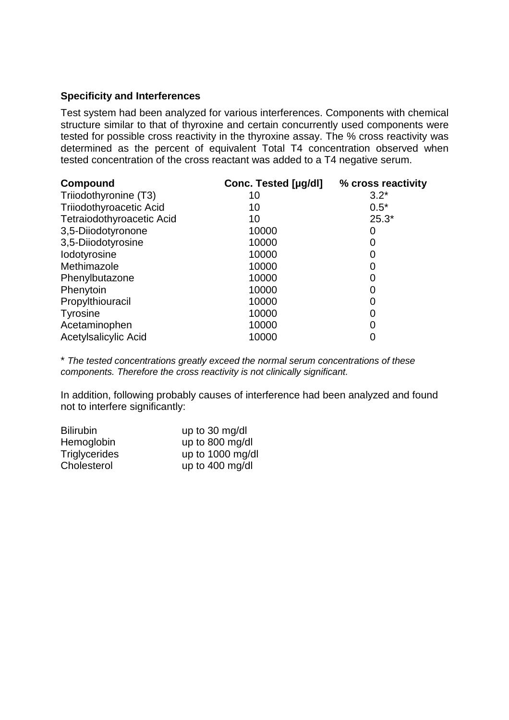#### **Specificity and Interferences**

Test system had been analyzed for various interferences. Components with chemical structure similar to that of thyroxine and certain concurrently used components were tested for possible cross reactivity in the thyroxine assay. The % cross reactivity was determined as the percent of equivalent Total T4 concentration observed when tested concentration of the cross reactant was added to a T4 negative serum.

| Compound                       | Conc. Tested [µg/dl] | % cross reactivity |  |
|--------------------------------|----------------------|--------------------|--|
| Triiodothyronine (T3)          | 10                   | $3.2*$             |  |
| <b>Triiodothyroacetic Acid</b> | 10                   | $0.5*$             |  |
| Tetraiodothyroacetic Acid      | 10                   | $25.3*$            |  |
| 3,5-Diiodotyronone             | 10000                | 0                  |  |
| 3,5-Diiodotyrosine             | 10000                | 0                  |  |
| lodotyrosine                   | 10000                | 0                  |  |
| Methimazole                    | 10000                | O                  |  |
| Phenylbutazone                 | 10000                |                    |  |
| Phenytoin                      | 10000                | 0                  |  |
| Propylthiouracil               | 10000                | 0                  |  |
| <b>Tyrosine</b>                | 10000                | 0                  |  |
| Acetaminophen                  | 10000                |                    |  |
| <b>Acetylsalicylic Acid</b>    | 10000                |                    |  |

\* *The tested concentrations greatly exceed the normal serum concentrations of these components. Therefore the cross reactivity is not clinically significant.*

In addition, following probably causes of interference had been analyzed and found not to interfere significantly:

| <b>Bilirubin</b>     | up to $30 \text{ mg/dl}$  |
|----------------------|---------------------------|
| Hemoglobin           | up to 800 mg/dl           |
| <b>Triglycerides</b> | up to 1000 mg/dl          |
| Cholesterol          | up to $400 \text{ mg/dl}$ |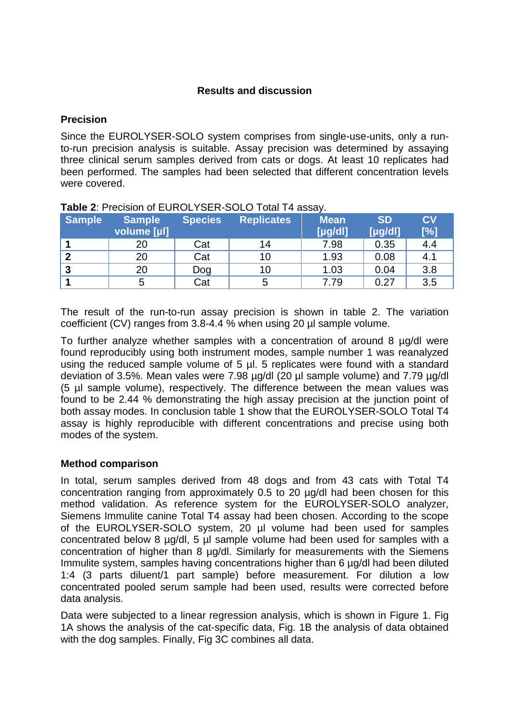## **Results and discussion**

### **Precision**

Since the EUROLYSER-SOLO system comprises from single-use-units, only a runto-run precision analysis is suitable. Assay precision was determined by assaying three clinical serum samples derived from cats or dogs. At least 10 replicates had been performed. The samples had been selected that different concentration levels were covered.

| <b>Sample</b> | <b>Sample</b><br>volume [µl] | <b>Species</b> | <b>Replicates</b> | <b>Mean</b><br>[yg/d] | <b>SD</b><br>[yg/d] | <b>CV</b><br>[%] |
|---------------|------------------------------|----------------|-------------------|-----------------------|---------------------|------------------|
|               | 20                           | Cat            | 14                | 7.98                  | 0.35                | 4.4              |
|               |                              |                |                   |                       |                     |                  |
| ົ             | 20                           | Cat            | 10                | 1.93                  | 0.08                | 4.1              |
| າ             | 20                           | Dog            | 10                | 1.03                  | 0.04                | 3.8              |
|               | 5                            | Cat            |                   | 7.79                  | 0.27                | 3.5              |

| Table 2: Precision of EUROLYSER-SOLO Total T4 assay. |  |
|------------------------------------------------------|--|
|                                                      |  |

The result of the run-to-run assay precision is shown in table 2. The variation coefficient (CV) ranges from 3.8-4.4 % when using 20 µl sample volume.

To further analyze whether samples with a concentration of around 8 µg/dl were found reproducibly using both instrument modes, sample number 1 was reanalyzed using the reduced sample volume of 5 µl. 5 replicates were found with a standard deviation of 3.5%. Mean vales were 7.98 µg/dl (20 µl sample volume) and 7.79 µg/dl (5 µl sample volume), respectively. The difference between the mean values was found to be 2.44 % demonstrating the high assay precision at the junction point of both assay modes. In conclusion table 1 show that the EUROLYSER-SOLO Total T4 assay is highly reproducible with different concentrations and precise using both modes of the system.

#### **Method comparison**

In total, serum samples derived from 48 dogs and from 43 cats with Total T4 concentration ranging from approximately 0.5 to 20 µg/dl had been chosen for this method validation. As reference system for the EUROLYSER-SOLO analyzer, Siemens Immulite canine Total T4 assay had been chosen. According to the scope of the EUROLYSER-SOLO system, 20 µl volume had been used for samples concentrated below 8 µg/dl, 5 µl sample volume had been used for samples with a concentration of higher than 8 µg/dl. Similarly for measurements with the Siemens Immulite system, samples having concentrations higher than 6 µg/dl had been diluted 1:4 (3 parts diluent/1 part sample) before measurement. For dilution a low concentrated pooled serum sample had been used, results were corrected before data analysis.

Data were subjected to a linear regression analysis, which is shown in Figure 1. Fig 1A shows the analysis of the cat-specific data, Fig. 1B the analysis of data obtained with the dog samples. Finally, Fig 3C combines all data.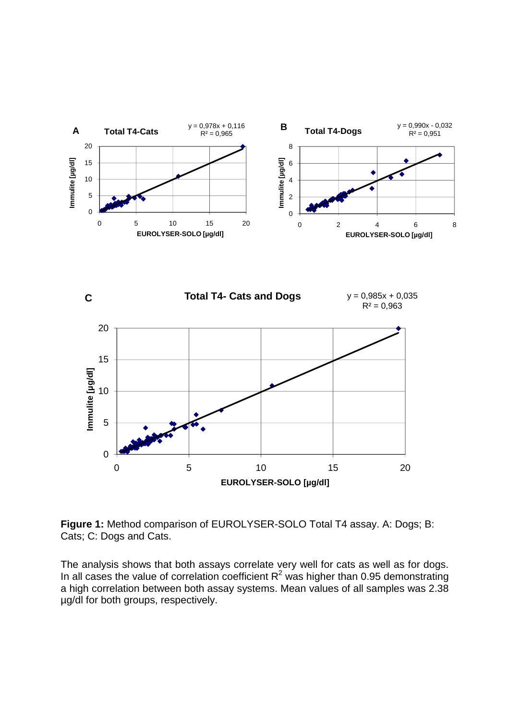

**Figure 1:** Method comparison of EUROLYSER-SOLO Total T4 assay. A: Dogs; B: Cats; C: Dogs and Cats.

The analysis shows that both assays correlate very well for cats as well as for dogs. In all cases the value of correlation coefficient  $R^2$  was higher than 0.95 demonstrating a high correlation between both assay systems. Mean values of all samples was 2.38 µg/dl for both groups, respectively.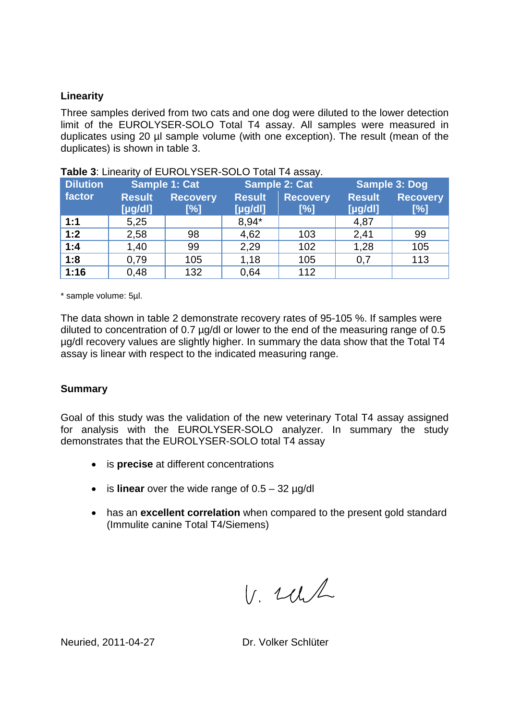#### **Linearity**

Three samples derived from two cats and one dog were diluted to the lower detection limit of the EUROLYSER-SOLO Total T4 assay. All samples were measured in duplicates using 20 µl sample volume (with one exception). The result (mean of the duplicates) is shown in table 3.

| <b>Dilution</b> | Sample 1: Cat |                 | <b>Sample 2: Cat</b> |                 | <b>Sample 3: Dog</b> |                 |
|-----------------|---------------|-----------------|----------------------|-----------------|----------------------|-----------------|
| factor          | <b>Result</b> | <b>Recovery</b> | <b>Result</b>        | <b>Recovery</b> | <b>Result</b>        | <b>Recovery</b> |
|                 | [yg/d]        | $[\%]$          | [yg/d!]              | [%]             | [yg/d]               | [%]             |
| 1:1             | 5,25          |                 | 8.94*                |                 | 4,87                 |                 |
| 1:2             | 2,58          | 98              | 4,62                 | 103             | 2,41                 | 99              |
| 1:4             | 1,40          | 99              | 2,29                 | 102             | 1,28                 | 105             |
| 1:8             | 0,79          | 105             | 1,18                 | 105             | 0,7                  | 113             |
| 1:16            | 0,48          | 132             | 0,64                 | 112             |                      |                 |

|  | Table 3: Linearity of EUROLYSER-SOLO Total T4 assay. |
|--|------------------------------------------------------|
|--|------------------------------------------------------|

\* sample volume: 5µl.

The data shown in table 2 demonstrate recovery rates of 95-105 %. If samples were diluted to concentration of 0.7 µg/dl or lower to the end of the measuring range of 0.5 µg/dl recovery values are slightly higher. In summary the data show that the Total T4 assay is linear with respect to the indicated measuring range.

## **Summary**

Goal of this study was the validation of the new veterinary Total T4 assay assigned for analysis with the EUROLYSER-SOLO analyzer. In summary the study demonstrates that the EUROLYSER-SOLO total T4 assay

- is **precise** at different concentrations
- $\bullet$  is **linear** over the wide range of  $0.5 32 \mu q/dl$
- has an **excellent correlation** when compared to the present gold standard (Immulite canine Total T4/Siemens)

 $V.$  while

Neuried, 2011-04-27 Dr. Volker Schlüter